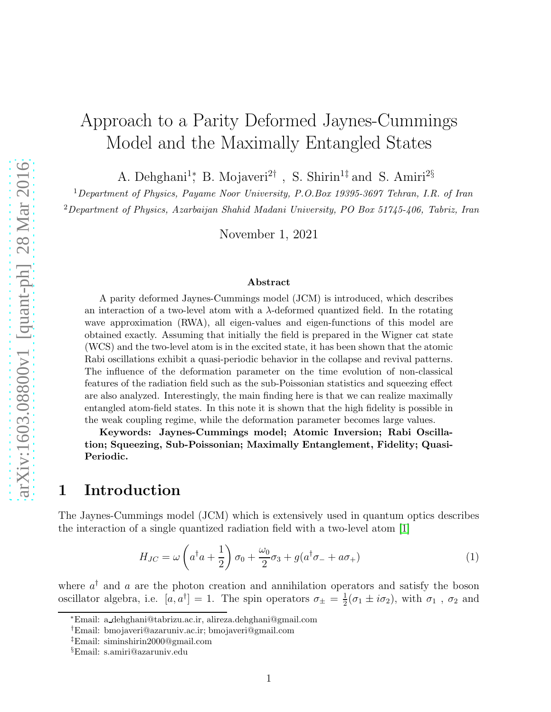# Approach to a Parity Deformed Jaynes-Cummings Model and the Maximally Entangled States

A. Dehghani<sup>1</sup><sup>\*</sup>, B. Mojaveri<sup>2†</sup>, S. Shirin<sup>1‡</sup> and S. Amiri<sup>2§</sup>

<sup>1</sup>Department of Physics, Payame Noor University, P.O.Box 19395-3697 Tehran, I.R. of Iran  $2$ Department of Physics, Azarbaijan Shahid Madani University, PO Box 51745-406, Tabriz, Iran

November 1, 2021

#### Abstract

A parity deformed Jaynes-Cummings model (JCM) is introduced, which describes an interaction of a two-level atom with a λ-deformed quantized field. In the rotating wave approximation (RWA), all eigen-values and eigen-functions of this model are obtained exactly. Assuming that initially the field is prepared in the Wigner cat state (WCS) and the two-level atom is in the excited state, it has been shown that the atomic Rabi oscillations exhibit a quasi-periodic behavior in the collapse and revival patterns. The influence of the deformation parameter on the time evolution of non-classical features of the radiation field such as the sub-Poissonian statistics and squeezing effect are also analyzed. Interestingly, the main finding here is that we can realize maximally entangled atom-field states. In this note it is shown that the high fidelity is possible in the weak coupling regime, while the deformation parameter becomes large values.

Keywords: Jaynes-Cummings model; Atomic Inversion; Rabi Oscillation; Squeezing, Sub-Poissonian; Maximally Entanglement, Fidelity; Quasi-Periodic.

## 1 Introduction

The Jaynes-Cummings model (JCM) which is extensively used in quantum optics describes the interaction of a single quantized radiation field with a two-level atom [\[1\]](#page-14-0)

$$
H_{JC} = \omega \left( a^{\dagger} a + \frac{1}{2} \right) \sigma_0 + \frac{\omega_0}{2} \sigma_3 + g(a^{\dagger} \sigma_- + a \sigma_+) \tag{1}
$$

where  $a^{\dagger}$  and a are the photon creation and annihilation operators and satisfy the boson oscillator algebra, i.e.  $[a, a^{\dagger}] = 1$ . The spin operators  $\sigma_{\pm} = \frac{1}{2}$  $\frac{1}{2}(\sigma_1 \pm i \sigma_2)$ , with  $\sigma_1$ ,  $\sigma_2$  and

<sup>∗</sup>Email: a dehghani@tabrizu.ac.ir, alireza.dehghani@gmail.com

<sup>†</sup>Email: bmojaveri@azaruniv.ac.ir; bmojaveri@gmail.com

<sup>‡</sup>Email: siminshirin2000@gmail.com

<sup>§</sup>Email: s.amiri@azaruniv.edu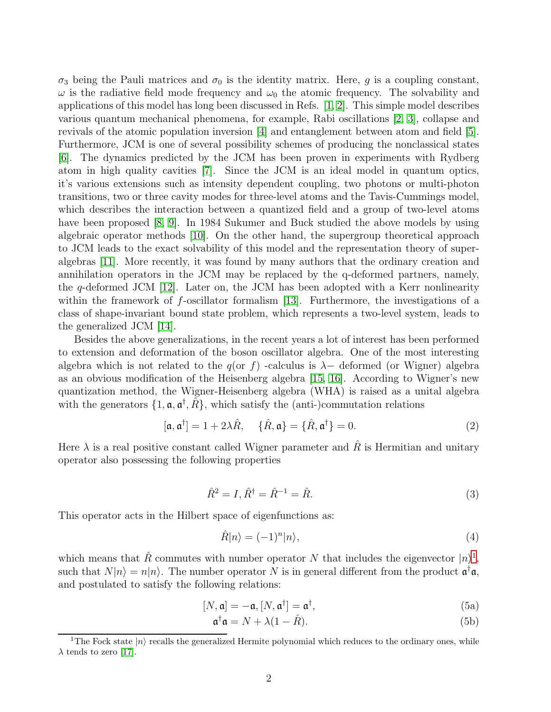$\sigma_3$  being the Pauli matrices and  $\sigma_0$  is the identity matrix. Here, g is a coupling constant,  $\omega$  is the radiative field mode frequency and  $\omega_0$  the atomic frequency. The solvability and applications of this model has long been discussed in Refs. [\[1,](#page-14-0) [2\]](#page-14-1). This simple model describes various quantum mechanical phenomena, for example, Rabi oscillations [\[2,](#page-14-1) [3\]](#page-14-2), collapse and revivals of the atomic population inversion [\[4\]](#page-14-3) and entanglement between atom and field [\[5\]](#page-15-0). Furthermore, JCM is one of several possibility schemes of producing the nonclassical states [\[6\]](#page-15-1). The dynamics predicted by the JCM has been proven in experiments with Rydberg atom in high quality cavities [\[7\]](#page-15-2). Since the JCM is an ideal model in quantum optics, it's various extensions such as intensity dependent coupling, two photons or multi-photon transitions, two or three cavity modes for three-level atoms and the Tavis-Cummings model, which describes the interaction between a quantized field and a group of two-level atoms have been proposed [\[8,](#page-15-3) [9\]](#page-15-4). In 1984 Sukumer and Buck studied the above models by using algebraic operator methods [\[10\]](#page-15-5). On the other hand, the supergroup theoretical approach to JCM leads to the exact solvability of this model and the representation theory of superalgebras [\[11\]](#page-15-6). More recently, it was found by many authors that the ordinary creation and annihilation operators in the JCM may be replaced by the q-deformed partners, namely, the q-deformed JCM [\[12\]](#page-15-7). Later on, the JCM has been adopted with a Kerr nonlinearity within the framework of  $f$ -oscillator formalism [\[13\]](#page-15-8). Furthermore, the investigations of a class of shape-invariant bound state problem, which represents a two-level system, leads to the generalized JCM [\[14\]](#page-15-9).

Besides the above generalizations, in the recent years a lot of interest has been performed to extension and deformation of the boson oscillator algebra. One of the most interesting algebra which is not related to the  $q($ or f) -calculus is  $\lambda-$  deformed (or Wigner) algebra as an obvious modification of the Heisenberg algebra [\[15,](#page-15-10) [16\]](#page-15-11). According to Wigner's new quantization method, the Wigner-Heisenberg algebra (WHA) is raised as a unital algebra with the generators  $\{1, \mathfrak{a}, \mathfrak{a}^{\dagger}, \tilde{R}\}$ , which satisfy the (anti-)commutation relations

$$
[\mathfrak{a}, \mathfrak{a}^\dagger] = 1 + 2\lambda \hat{R}, \quad \{\hat{R}, \mathfrak{a}\} = \{\hat{R}, \mathfrak{a}^\dagger\} = 0.
$$
 (2)

Here  $\lambda$  is a real positive constant called Wigner parameter and  $\hat{R}$  is Hermitian and unitary operator also possessing the following properties

$$
\hat{R}^2 = I, \hat{R}^\dagger = \hat{R}^{-1} = \hat{R}.\tag{3}
$$

This operator acts in the Hilbert space of eigenfunctions as:

$$
\hat{R}|n\rangle = (-1)^n |n\rangle,\tag{4}
$$

which means that  $\hat{R}$  commutes with number operator N that includes the eigenvector  $|n\rangle^1$  $|n\rangle^1$ , such that  $N|n\rangle = n|n\rangle$ . The number operator N is in general different from the product  $\mathfrak{a}^\dagger \mathfrak{a}$ , and postulated to satisfy the following relations:

$$
[N, \mathfrak{a}] = -\mathfrak{a}, [N, \mathfrak{a}^\dagger] = \mathfrak{a}^\dagger,\tag{5a}
$$

$$
\mathfrak{a}^\dagger \mathfrak{a} = N + \lambda (1 - \hat{R}).\tag{5b}
$$

<span id="page-1-0"></span><sup>&</sup>lt;sup>1</sup>The Fock state  $|n\rangle$  recalls the generalized Hermite polynomial which reduces to the ordinary ones, while  $\lambda$  tends to zero [\[17\]](#page-15-12).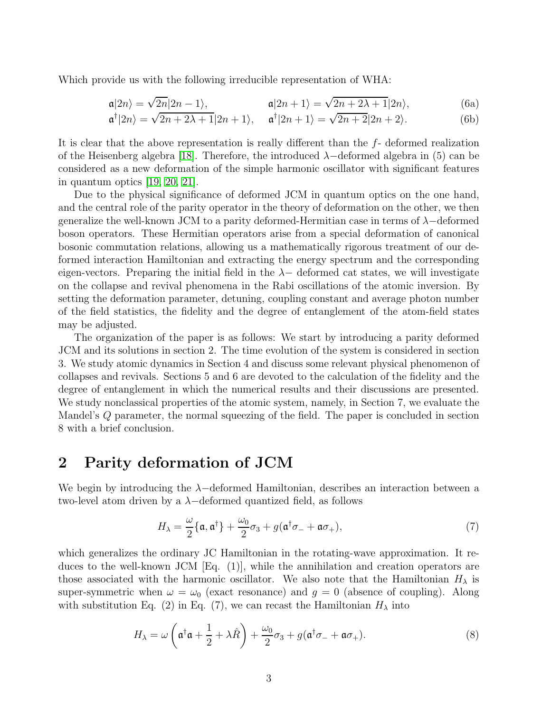Which provide us with the following irreducible representation of WHA:

$$
\mathfrak{a}|2n\rangle = \sqrt{2n}|2n-1\rangle, \qquad \qquad \mathfrak{a}|2n+1\rangle = \sqrt{2n+2\lambda+1}|2n\rangle, \tag{6a}
$$

$$
\mathfrak{a}^{\dagger}|2n\rangle = \sqrt{2n+2\lambda+1}|2n+1\rangle, \quad \mathfrak{a}^{\dagger}|2n+1\rangle = \sqrt{2n+2}|2n+2\rangle. \tag{6b}
$$

It is clear that the above representation is really different than the f- deformed realization of the Heisenberg algebra [\[18\]](#page-15-13). Therefore, the introduced  $\lambda$ -deformed algebra in (5) can be considered as a new deformation of the simple harmonic oscillator with significant features in quantum optics [\[19,](#page-15-14) [20,](#page-15-15) [21\]](#page-15-16).

Due to the physical significance of deformed JCM in quantum optics on the one hand, and the central role of the parity operator in the theory of deformation on the other, we then generalize the well-known JCM to a parity deformed-Hermitian case in terms of  $\lambda$ -deformed boson operators. These Hermitian operators arise from a special deformation of canonical bosonic commutation relations, allowing us a mathematically rigorous treatment of our deformed interaction Hamiltonian and extracting the energy spectrum and the corresponding eigen-vectors. Preparing the initial field in the  $\lambda$  deformed cat states, we will investigate on the collapse and revival phenomena in the Rabi oscillations of the atomic inversion. By setting the deformation parameter, detuning, coupling constant and average photon number of the field statistics, the fidelity and the degree of entanglement of the atom-field states may be adjusted.

The organization of the paper is as follows: We start by introducing a parity deformed JCM and its solutions in section 2. The time evolution of the system is considered in section 3. We study atomic dynamics in Section 4 and discuss some relevant physical phenomenon of collapses and revivals. Sections 5 and 6 are devoted to the calculation of the fidelity and the degree of entanglement in which the numerical results and their discussions are presented. We study nonclassical properties of the atomic system, namely, in Section 7, we evaluate the Mandel's Q parameter, the normal squeezing of the field. The paper is concluded in section 8 with a brief conclusion.

## 2 Parity deformation of JCM

We begin by introducing the λ−deformed Hamiltonian, describes an interaction between a two-level atom driven by a  $\lambda$ -deformed quantized field, as follows

$$
H_{\lambda} = \frac{\omega}{2} \{ \mathfrak{a}, \mathfrak{a}^{\dagger} \} + \frac{\omega_0}{2} \sigma_3 + g (\mathfrak{a}^{\dagger} \sigma_- + \mathfrak{a} \sigma_+), \tag{7}
$$

which generalizes the ordinary JC Hamiltonian in the rotating-wave approximation. It reduces to the well-known JCM [Eq. (1)], while the annihilation and creation operators are those associated with the harmonic oscillator. We also note that the Hamiltonian  $H_{\lambda}$  is super-symmetric when  $\omega = \omega_0$  (exact resonance) and  $g = 0$  (absence of coupling). Along with substitution Eq. (2) in Eq. (7), we can recast the Hamiltonian  $H_{\lambda}$  into

$$
H_{\lambda} = \omega \left( \mathfrak{a}^{\dagger} \mathfrak{a} + \frac{1}{2} + \lambda \hat{R} \right) + \frac{\omega_0}{2} \sigma_3 + g(\mathfrak{a}^{\dagger} \sigma_- + \mathfrak{a} \sigma_+).
$$
 (8)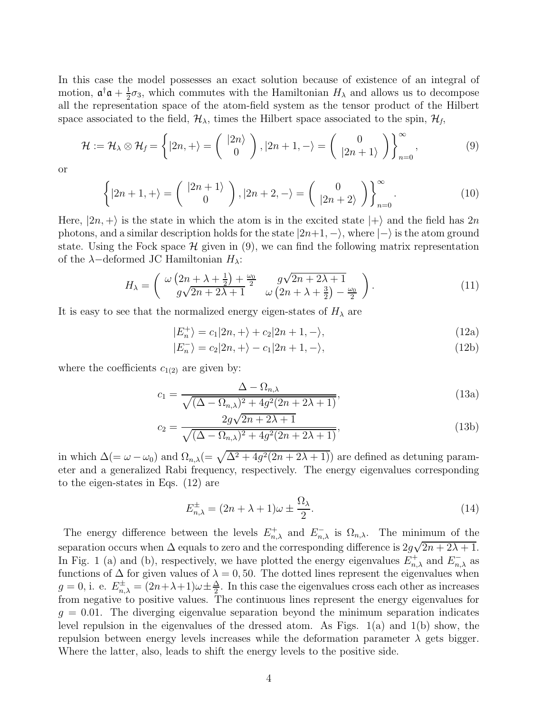In this case the model possesses an exact solution because of existence of an integral of motion,  $\mathfrak{a}^\dagger \mathfrak{a} + \frac{1}{2}$  $\frac{1}{2}\sigma_3$ , which commutes with the Hamiltonian  $H_\lambda$  and allows us to decompose all the representation space of the atom-field system as the tensor product of the Hilbert space associated to the field,  $\mathcal{H}_{\lambda}$ , times the Hilbert space associated to the spin,  $\mathcal{H}_{f}$ ,

$$
\mathcal{H} := \mathcal{H}_{\lambda} \otimes \mathcal{H}_{f} = \left\{ |2n, + \rangle = \left( \begin{array}{c} |2n\rangle \\ 0 \end{array} \right), |2n+1, -\rangle = \left( \begin{array}{c} 0 \\ |2n+1\rangle \end{array} \right) \right\}_{n=0}^{\infty},
$$
(9)

or

$$
\left\{ |2n+1,+\rangle = \left(\begin{array}{c} |2n+1\rangle \\ 0 \end{array}\right), |2n+2, -\rangle = \left(\begin{array}{c} 0 \\ |2n+2\rangle \end{array}\right) \right\}_{n=0}^{\infty}.
$$
 (10)

Here,  $|2n, +\rangle$  is the state in which the atom is in the excited state  $|+\rangle$  and the field has  $2n$ photons, and a similar description holds for the state  $|2n+1, -\rangle$ , where  $|-\rangle$  is the atom ground state. Using the Fock space  $\mathcal H$  given in (9), we can find the following matrix representation of the  $\lambda$ -deformed JC Hamiltonian  $H_{\lambda}$ :

$$
H_{\lambda} = \begin{pmatrix} \omega \left(2n + \lambda + \frac{1}{2}\right) + \frac{\omega_0}{2} & g\sqrt{2n + 2\lambda + 1} \\ g\sqrt{2n + 2\lambda + 1} & \omega \left(2n + \lambda + \frac{3}{2}\right) - \frac{\omega_0}{2} \end{pmatrix}.
$$
 (11)

It is easy to see that the normalized energy eigen-states of  $H_{\lambda}$  are

$$
|E_n^+\rangle = c_1|2n, +\rangle + c_2|2n+1, -\rangle,\tag{12a}
$$

$$
|E_n^-\rangle = c_2|2n, +\rangle - c_1|2n+1, -\rangle,\tag{12b}
$$

where the coefficients  $c_{1(2)}$  are given by:

$$
c_1 = \frac{\Delta - \Omega_{n,\lambda}}{\sqrt{(\Delta - \Omega_{n,\lambda})^2 + 4g^2(2n + 2\lambda + 1)}},\tag{13a}
$$

$$
c_2 = \frac{2g\sqrt{2n+2\lambda+1}}{\sqrt{(\Delta - \Omega_{n,\lambda})^2 + 4g^2(2n+2\lambda+1)}},
$$
\n(13b)

in which  $\Delta (= \omega - \omega_0)$  and  $\Omega_{n,\lambda} (= \sqrt{\Delta^2 + 4g^2(2n + 2\lambda + 1)})$  are defined as detuning parameter and a generalized Rabi frequency, respectively. The energy eigenvalues corresponding to the eigen-states in Eqs. (12) are

$$
E_{n,\lambda}^{\pm} = (2n + \lambda + 1)\omega \pm \frac{\Omega_{\lambda}}{2}.
$$
\n(14)

The energy difference between the levels  $E_{n,\lambda}^+$  and  $E_{n,\lambda}^-$  is  $\Omega_{n,\lambda}$ . The minimum of the separation occurs when  $\Delta$  equals to zero and the corresponding difference is  $2g\sqrt{2n+2\lambda+1}$ . In Fig. 1 (a) and (b), respectively, we have plotted the energy eigenvalues  $E_{n,\lambda}^+$  and  $E_{n,\lambda}^-$  as functions of  $\Delta$  for given values of  $\lambda = 0, 50$ . The dotted lines represent the eigenvalues when  $g = 0$ , i. e.  $E_{n,\lambda}^{\pm} = (2n + \lambda + 1)\omega \pm \frac{\Delta}{2}$  $\frac{\Delta}{2}$ . In this case the eigenvalues cross each other as increases from negative to positive values. The continuous lines represent the energy eigenvalues for  $g = 0.01$ . The diverging eigenvalue separation beyond the minimum separation indicates level repulsion in the eigenvalues of the dressed atom. As Figs. 1(a) and 1(b) show, the repulsion between energy levels increases while the deformation parameter  $\lambda$  gets bigger. Where the latter, also, leads to shift the energy levels to the positive side.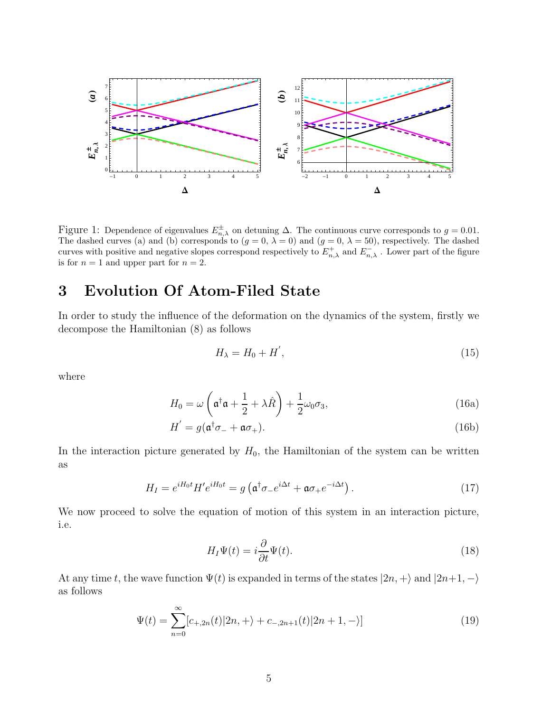

Figure 1: Dependence of eigenvalues  $E_{n,\lambda}^{\pm}$  on detuning  $\Delta$ . The continuous curve corresponds to  $g = 0.01$ . The dashed curves (a) and (b) corresponds to  $(g = 0, \lambda = 0)$  and  $(g = 0, \lambda = 50)$ , respectively. The dashed curves with positive and negative slopes correspond respectively to  $E_{n,\lambda}^+$  and  $E_{n,\lambda}^-$ . Lower part of the figure is for  $n = 1$  and upper part for  $n = 2$ .

## 3 Evolution Of Atom-Filed State

In order to study the influence of the deformation on the dynamics of the system, firstly we decompose the Hamiltonian (8) as follows

$$
H_{\lambda} = H_0 + H',\tag{15}
$$

where

$$
H_0 = \omega \left( \mathfrak{a}^\dagger \mathfrak{a} + \frac{1}{2} + \lambda \hat{R} \right) + \frac{1}{2} \omega_0 \sigma_3, \tag{16a}
$$

$$
H' = g(\mathfrak{a}^\dagger \sigma_- + \mathfrak{a} \sigma_+). \tag{16b}
$$

In the interaction picture generated by  $H_0$ , the Hamiltonian of the system can be written as

$$
H_I = e^{iH_0t} H' e^{iH_0t} = g \left( \mathfrak{a}^\dagger \sigma_- e^{i\Delta t} + \mathfrak{a} \sigma_+ e^{-i\Delta t} \right). \tag{17}
$$

We now proceed to solve the equation of motion of this system in an interaction picture, i.e.

$$
H_I \Psi(t) = i \frac{\partial}{\partial t} \Psi(t). \tag{18}
$$

At any time t, the wave function  $\Psi(t)$  is expanded in terms of the states  $|2n, +\rangle$  and  $|2n+1, -\rangle$ as follows

$$
\Psi(t) = \sum_{n=0}^{\infty} [c_{+,2n}(t)|2n, +\rangle + c_{-,2n+1}(t)|2n+1, -\rangle]
$$
\n(19)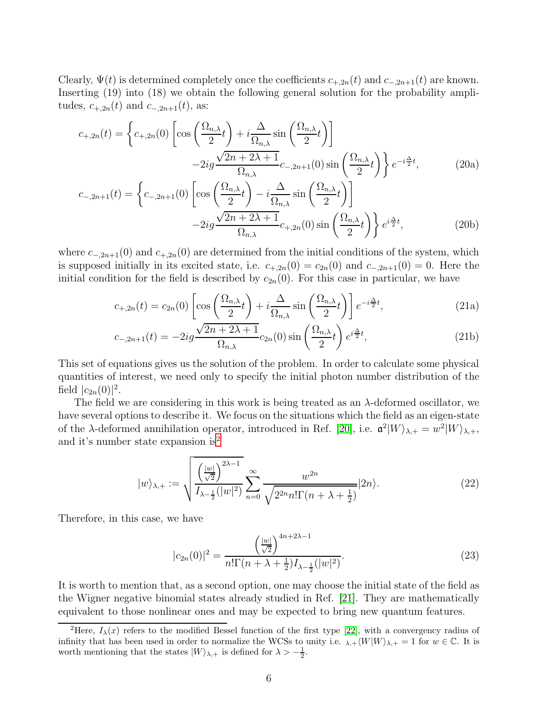Clearly,  $\Psi(t)$  is determined completely once the coefficients  $c_{+,2n}(t)$  and  $c_{-,2n+1}(t)$  are known. Inserting (19) into (18) we obtain the following general solution for the probability amplitudes,  $c_{+,2n}(t)$  and  $c_{-,2n+1}(t)$ , as:

$$
c_{+,2n}(t) = \left\{ c_{+,2n}(0) \left[ \cos\left(\frac{\Omega_{n,\lambda}}{2}t\right) + i\frac{\Delta}{\Omega_{n,\lambda}} \sin\left(\frac{\Omega_{n,\lambda}}{2}t\right) \right] - 2ig\frac{\sqrt{2n+2\lambda+1}}{\Omega_{n,\lambda}} c_{-,2n+1}(0) \sin\left(\frac{\Omega_{n,\lambda}}{2}t\right) \right\} e^{-i\frac{\Delta}{2}t},\tag{20a}
$$

$$
c_{-,2n+1}(t) = \left\{ c_{-,2n+1}(0) \left[ \cos\left(\frac{\Omega_{n,\lambda}}{2}t\right) - i\frac{\Delta}{\Omega_{n,\lambda}} \sin\left(\frac{\Omega_{n,\lambda}}{2}t\right) \right] - 2ig\frac{\sqrt{2n+2\lambda+1}}{\Omega_{n,\lambda}} c_{+,2n}(0) \sin\left(\frac{\Omega_{n,\lambda}}{2}t\right) \right\} e^{i\frac{\Delta}{2}t},\tag{20b}
$$

where  $c_{-,2n+1}(0)$  and  $c_{+,2n}(0)$  are determined from the initial conditions of the system, which is supposed initially in its excited state, i.e.  $c_{+,2n}(0) = c_{2n}(0)$  and  $c_{-,2n+1}(0) = 0$ . Here the initial condition for the field is described by  $c_{2n}(0)$ . For this case in particular, we have

$$
c_{+,2n}(t) = c_{2n}(0) \left[ \cos\left(\frac{\Omega_{n,\lambda}}{2}t\right) + i\frac{\Delta}{\Omega_{n,\lambda}} \sin\left(\frac{\Omega_{n,\lambda}}{2}t\right) \right] e^{-i\frac{\Delta}{2}t},\tag{21a}
$$

$$
c_{-,2n+1}(t) = -2ig\frac{\sqrt{2n+2\lambda+1}}{\Omega_{n,\lambda}}c_{2n}(0)\sin\left(\frac{\Omega_{n,\lambda}}{2}t\right)e^{i\frac{\Delta}{2}t},\tag{21b}
$$

This set of equations gives us the solution of the problem. In order to calculate some physical quantities of interest, we need only to specify the initial photon number distribution of the field  $|c_{2n}(0)|^2$ .

The field we are considering in this work is being treated as an  $\lambda$ -deformed oscillator, we have several options to describe it. We focus on the situations which the field as an eigen-state of the  $\lambda$ -deformed annihilation operator, introduced in Ref. [\[20\]](#page-15-15), i.e.  $\mathfrak{a}^2|W\rangle_{\lambda,+} = w^2|W\rangle_{\lambda,+}$ , and it's number state expansion is<sup>[2](#page-5-0)</sup>

$$
|w\rangle_{\lambda,+} := \sqrt{\frac{\left(\frac{|w|}{\sqrt{2}}\right)^{2\lambda-1}}{I_{\lambda-\frac{1}{2}}(|w|^2)}} \sum_{n=0}^{\infty} \frac{w^{2n}}{\sqrt{2^{2n}n!\Gamma(n+\lambda+\frac{1}{2})}} |2n\rangle.
$$
 (22)

Therefore, in this case, we have

$$
|c_{2n}(0)|^2 = \frac{\left(\frac{|w|}{\sqrt{2}}\right)^{4n+2\lambda-1}}{n!\Gamma(n+\lambda+\frac{1}{2})I_{\lambda-\frac{1}{2}}(|w|^2)}.
$$
\n(23)

It is worth to mention that, as a second option, one may choose the initial state of the field as the Wigner negative binomial states already studied in Ref. [\[21\]](#page-15-16). They are mathematically equivalent to those nonlinear ones and may be expected to bring new quantum features.

<span id="page-5-0"></span><sup>&</sup>lt;sup>2</sup>Here,  $I_{\lambda}(x)$  refers to the modified Bessel function of the first type [\[22\]](#page-16-0), with a convergency radius of infinity that has been used in order to normalize the WCSs to unity i.e.  $\lambda$ <sub>+</sub> $\langle W|W\rangle$ <sub> $\lambda$ <sub>+</sub> = 1 for  $w \in \mathbb{C}$ . It is</sub> worth mentioning that the states  $|W\rangle_{\lambda,+}$  is defined for  $\lambda > -\frac{1}{2}$ .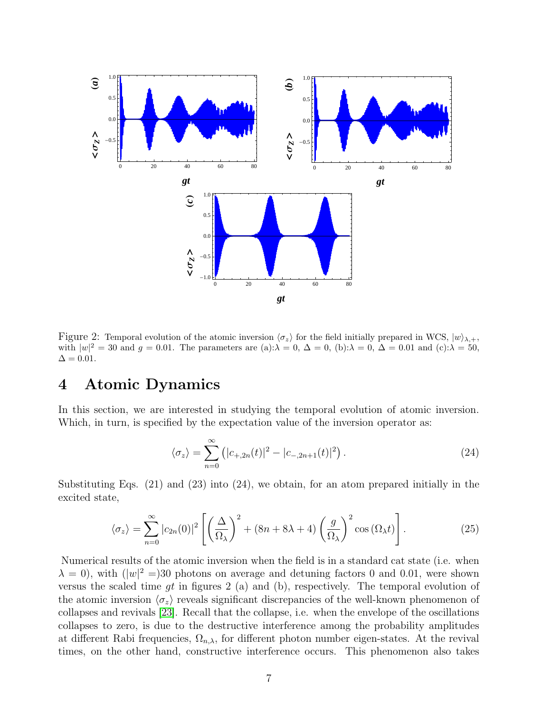

Figure 2: Temporal evolution of the atomic inversion  $\langle \sigma_z \rangle$  for the field initially prepared in WCS,  $|w\rangle_{\lambda,+}$ , with  $|w|^2 = 30$  and  $g = 0.01$ . The parameters are (a): $\lambda = 0$ ,  $\Delta = 0$ , (b): $\lambda = 0$ ,  $\Delta = 0.01$  and (c): $\lambda = 50$ ,  $\Delta = 0.01$ .

## 4 Atomic Dynamics

In this section, we are interested in studying the temporal evolution of atomic inversion. Which, in turn, is specified by the expectation value of the inversion operator as:

$$
\langle \sigma_z \rangle = \sum_{n=0}^{\infty} \left( |c_{+,2n}(t)|^2 - |c_{-,2n+1}(t)|^2 \right). \tag{24}
$$

Substituting Eqs. (21) and (23) into (24), we obtain, for an atom prepared initially in the excited state,

$$
\langle \sigma_z \rangle = \sum_{n=0}^{\infty} |c_{2n}(0)|^2 \left[ \left( \frac{\Delta}{\Omega_{\lambda}} \right)^2 + (8n + 8\lambda + 4) \left( \frac{g}{\Omega_{\lambda}} \right)^2 \cos \left( \Omega_{\lambda} t \right) \right]. \tag{25}
$$

Numerical results of the atomic inversion when the field is in a standard cat state (i.e. when  $\lambda = 0$ , with  $(|w|^2 = 30$  photons on average and detuning factors 0 and 0.01, were shown versus the scaled time  $gt$  in figures 2 (a) and (b), respectively. The temporal evolution of the atomic inversion  $\langle \sigma_z \rangle$  reveals significant discrepancies of the well-known phenomenon of collapses and revivals [\[23\]](#page-16-1). Recall that the collapse, i.e. when the envelope of the oscillations collapses to zero, is due to the destructive interference among the probability amplitudes at different Rabi frequencies,  $\Omega_{n,\lambda}$ , for different photon number eigen-states. At the revival times, on the other hand, constructive interference occurs. This phenomenon also takes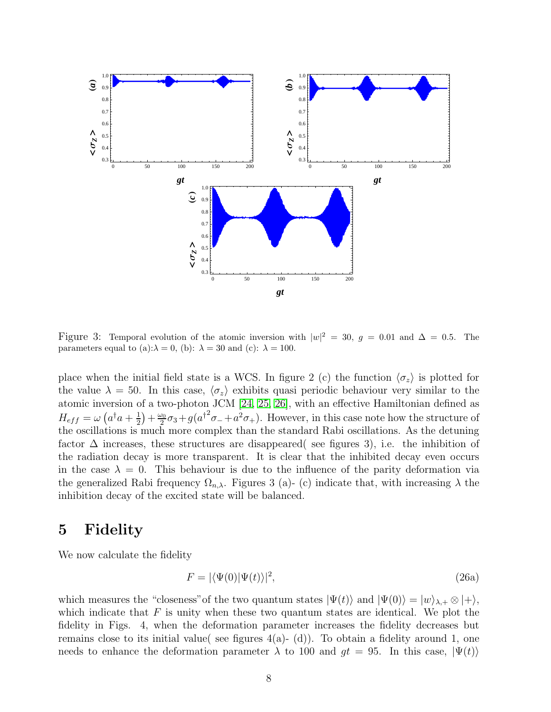

Figure 3: Temporal evolution of the atomic inversion with  $|w|^2 = 30$ ,  $g = 0.01$  and  $\Delta = 0.5$ . The parameters equal to (a): $\lambda = 0$ , (b):  $\lambda = 30$  and (c):  $\lambda = 100$ .

place when the initial field state is a WCS. In figure 2 (c) the function  $\langle \sigma_z \rangle$  is plotted for the value  $\lambda = 50$ . In this case,  $\langle \sigma_z \rangle$  exhibits quasi periodic behaviour very similar to the atomic inversion of a two-photon JCM [\[24,](#page-16-2) [25,](#page-16-3) [26\]](#page-16-4), with an effective Hamiltonian defined as  $H_{eff} = \omega \left( a^{\dagger}a + \frac{1}{2} \right)$  $(\frac{1}{2}) + \frac{\omega_0}{2}$  $\frac{\partial v_0}{\partial 2}\sigma_3+g(a^{\dagger^2}\sigma_-+a^2\sigma_+).$  However, in this case note how the structure of the oscillations is much more complex than the standard Rabi oscillations. As the detuning factor  $\Delta$  increases, these structures are disappeared( see figures 3), i.e. the inhibition of the radiation decay is more transparent. It is clear that the inhibited decay even occurs in the case  $\lambda = 0$ . This behaviour is due to the influence of the parity deformation via the generalized Rabi frequency  $\Omega_{n,\lambda}$ . Figures 3 (a)- (c) indicate that, with increasing  $\lambda$  the inhibition decay of the excited state will be balanced.

### 5 Fidelity

We now calculate the fidelity

$$
F = |\langle \Psi(0) | \Psi(t) \rangle|^2, \tag{26a}
$$

which measures the "closeness" of the two quantum states  $|\Psi(t)\rangle$  and  $|\Psi(0)\rangle = |w\rangle_{\lambda,+} \otimes |+\rangle$ , which indicate that  $F$  is unity when these two quantum states are identical. We plot the fidelity in Figs. 4, when the deformation parameter increases the fidelity decreases but remains close to its initial value( see figures  $4(a)$ - (d)). To obtain a fidelity around 1, one needs to enhance the deformation parameter  $\lambda$  to 100 and  $gt = 95$ . In this case,  $|\Psi(t)\rangle$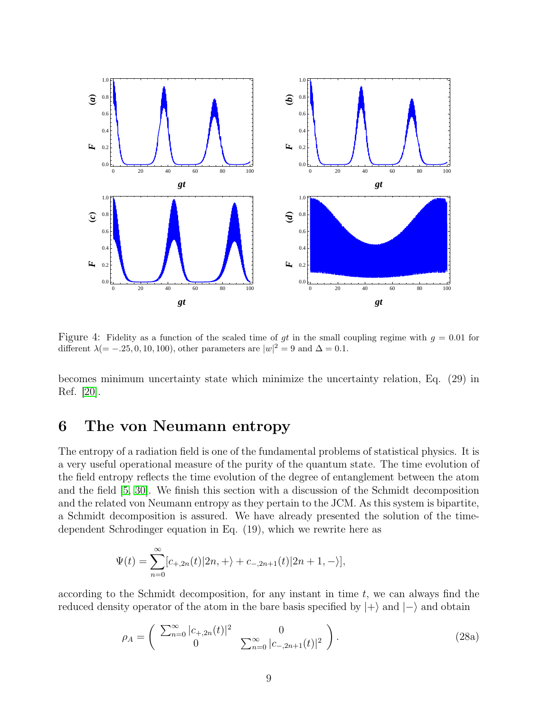

Figure 4: Fidelity as a function of the scaled time of gt in the small coupling regime with  $g = 0.01$  for different  $\lambda(=-.25, 0, 10, 100)$ , other parameters are  $|w|^2 = 9$  and  $\Delta = 0.1$ .

becomes minimum uncertainty state which minimize the uncertainty relation, Eq. (29) in Ref. [\[20\]](#page-15-15).

## 6 The von Neumann entropy

The entropy of a radiation field is one of the fundamental problems of statistical physics. It is a very useful operational measure of the purity of the quantum state. The time evolution of the field entropy reflects the time evolution of the degree of entanglement between the atom and the field [\[5,](#page-15-0) [30\]](#page-16-5). We finish this section with a discussion of the Schmidt decomposition and the related von Neumann entropy as they pertain to the JCM. As this system is bipartite, a Schmidt decomposition is assured. We have already presented the solution of the timedependent Schrodinger equation in Eq. (19), which we rewrite here as

$$
\Psi(t) = \sum_{n=0}^{\infty} [c_{+,2n}(t)|2n, +\rangle + c_{-,2n+1}(t)|2n+1, -\rangle],
$$

according to the Schmidt decomposition, for any instant in time  $t$ , we can always find the reduced density operator of the atom in the bare basis specified by  $|+\rangle$  and  $|-\rangle$  and obtain

$$
\rho_A = \begin{pmatrix} \sum_{n=0}^{\infty} |c_{+,2n}(t)|^2 & 0\\ 0 & \sum_{n=0}^{\infty} |c_{-,2n+1}(t)|^2 \end{pmatrix}.
$$
 (28a)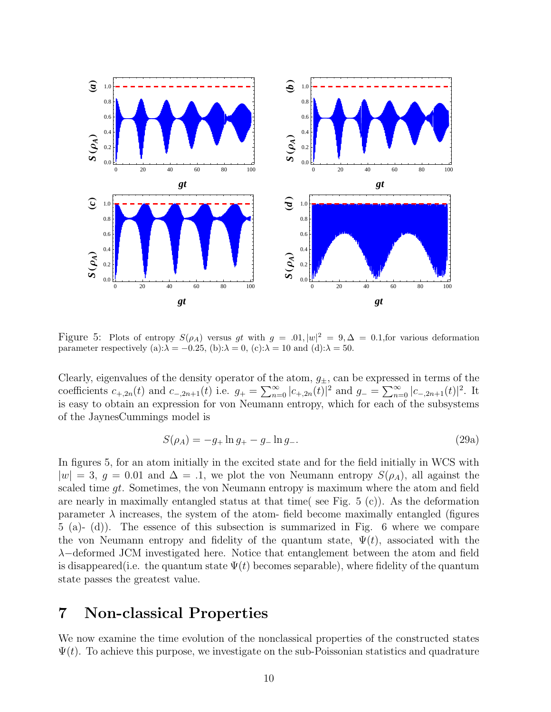

Figure 5: Plots of entropy  $S(\rho_A)$  versus gt with  $g = .01, |w|^2 = 9, \Delta = 0.1$ , for various deformation parameter respectively (a): $\lambda = -0.25$ , (b): $\lambda = 0$ , (c): $\lambda = 10$  and (d): $\lambda = 50$ .

Clearly, eigenvalues of the density operator of the atom,  $g_{\pm}$ , can be expressed in terms of the coefficients  $c_{+,2n}(t)$  and  $c_{-,2n+1}(t)$  i.e.  $g_+ = \sum_{n=0}^{\infty} |c_{+,2n}(t)|^2$  and  $g_- = \sum_{n=0}^{\infty} |c_{-,2n+1}(t)|^2$ . It is easy to obtain an expression for von Neumann entropy, which for each of the subsystems of the JaynesCummings model is

$$
S(\rho_A) = -g_+ \ln g_+ - g_- \ln g_-.
$$
 (29a)

In figures 5, for an atom initially in the excited state and for the field initially in WCS with  $|w| = 3$ ,  $g = 0.01$  and  $\Delta = 0.1$ , we plot the von Neumann entropy  $S(\rho_A)$ , all against the scaled time  $qt$ . Sometimes, the von Neumann entropy is maximum where the atom and field are nearly in maximally entangled status at that time( see Fig. 5 (c)). As the deformation parameter  $\lambda$  increases, the system of the atom- field become maximally entangled (figures 5 (a)- (d)). The essence of this subsection is summarized in Fig. 6 where we compare the von Neumann entropy and fidelity of the quantum state,  $\Psi(t)$ , associated with the λ−deformed JCM investigated here. Notice that entanglement between the atom and field is disappeared(i.e. the quantum state  $\Psi(t)$  becomes separable), where fidelity of the quantum state passes the greatest value.

### 7 Non-classical Properties

We now examine the time evolution of the nonclassical properties of the constructed states  $\Psi(t)$ . To achieve this purpose, we investigate on the sub-Poissonian statistics and quadrature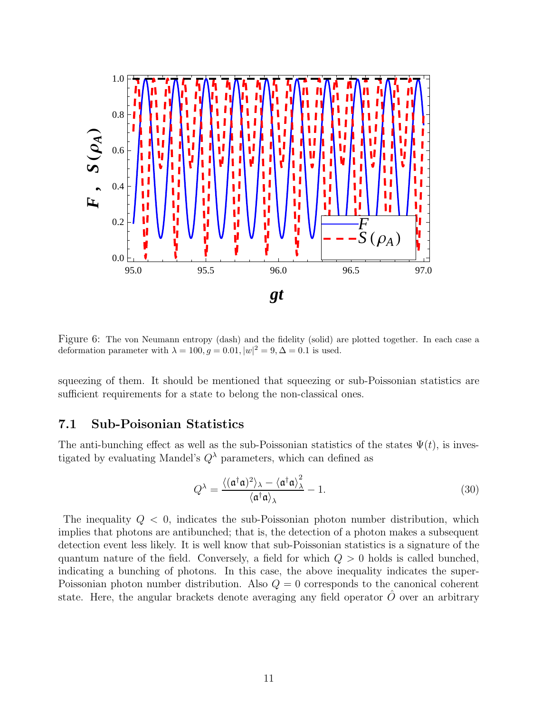

Figure 6: The von Neumann entropy (dash) and the fidelity (solid) are plotted together. In each case a deformation parameter with  $\lambda = 100, g = 0.01, |w|^2 = 9, \Delta = 0.1$  is used.

squeezing of them. It should be mentioned that squeezing or sub-Poissonian statistics are sufficient requirements for a state to belong the non-classical ones.

### 7.1 Sub-Poisonian Statistics

The anti-bunching effect as well as the sub-Poissonian statistics of the states  $\Psi(t)$ , is investigated by evaluating Mandel's  $Q^{\lambda}$  parameters, which can defined as

$$
Q^{\lambda} = \frac{\langle (\mathfrak{a}^{\dagger} \mathfrak{a})^2 \rangle_{\lambda} - \langle \mathfrak{a}^{\dagger} \mathfrak{a} \rangle_{\lambda}^2}{\langle \mathfrak{a}^{\dagger} \mathfrak{a} \rangle_{\lambda}} - 1.
$$
 (30)

The inequality  $Q < 0$ , indicates the sub-Poissonian photon number distribution, which implies that photons are antibunched; that is, the detection of a photon makes a subsequent detection event less likely. It is well know that sub-Poissonian statistics is a signature of the quantum nature of the field. Conversely, a field for which  $Q > 0$  holds is called bunched, indicating a bunching of photons. In this case, the above inequality indicates the super-Poissonian photon number distribution. Also  $Q = 0$  corresponds to the canonical coherent state. Here, the angular brackets denote averaging any field operator  $O$  over an arbitrary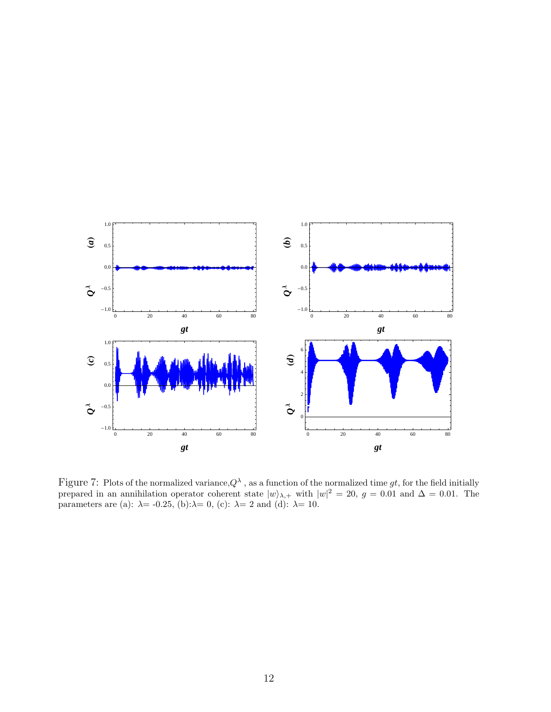

Figure 7: Plots of the normalized variance,  $Q^{\lambda}$ , as a function of the normalized time gt, for the field initially prepared in an annihilation operator coherent state  $|w\rangle_{\lambda,+}$  with  $|w|^2 = 20$ ,  $g = 0.01$  and  $\Delta = 0.01$ . The parameters are (a):  $\lambda$  = -0.25, (b): $\lambda$  = 0, (c):  $\lambda$  = 2 and (d):  $\lambda$  = 10.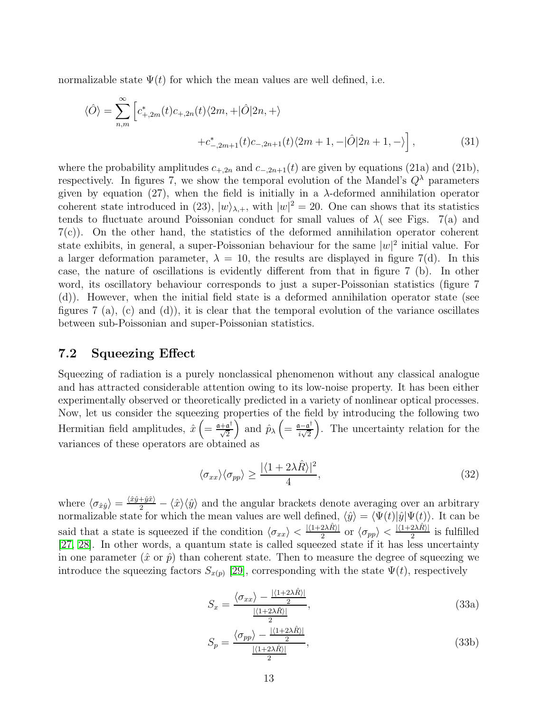normalizable state  $\Psi(t)$  for which the mean values are well defined, i.e.

$$
\langle \hat{O} \rangle = \sum_{n,m}^{\infty} \left[ c_{+,2m}^*(t)c_{+,2n}(t)\langle 2m,+|\hat{O}|2n,+ \rangle \right. \\
\left. + c_{-,2m+1}^*(t)c_{-,2n+1}(t)\langle 2m+1,-|\hat{O}|2n+1,- \rangle \right],
$$
\n(31)

where the probability amplitudes  $c_{+,2n}$  and  $c_{-,2n+1}(t)$  are given by equations (21a) and (21b), respectively. In figures 7, we show the temporal evolution of the Mandel's  $Q^{\lambda}$  parameters given by equation (27), when the field is initially in a  $\lambda$ -deformed annihilation operator coherent state introduced in (23),  $|w\rangle_{\lambda,+}$ , with  $|w|^2 = 20$ . One can shows that its statistics tends to fluctuate around Poissonian conduct for small values of  $\lambda$  (see Figs. 7(a) and 7(c)). On the other hand, the statistics of the deformed annihilation operator coherent state exhibits, in general, a super-Poissonian behaviour for the same  $|w|^2$  initial value. For a larger deformation parameter,  $\lambda = 10$ , the results are displayed in figure 7(d). In this case, the nature of oscillations is evidently different from that in figure 7 (b). In other word, its oscillatory behaviour corresponds to just a super-Poissonian statistics (figure 7 (d)). However, when the initial field state is a deformed annihilation operator state (see figures  $7$  (a), (c) and (d)), it is clear that the temporal evolution of the variance oscillates between sub-Poissonian and super-Poissonian statistics.

#### 7.2 Squeezing Effect

Squeezing of radiation is a purely nonclassical phenomenon without any classical analogue and has attracted considerable attention owing to its low-noise property. It has been either experimentally observed or theoretically predicted in a variety of nonlinear optical processes. Now, let us consider the squeezing properties of the field by introducing the following two Hermitian field amplitudes,  $\hat{x} \left( = \frac{a + a^{\dagger}}{\sqrt{2}} \right)$ ) and  $\hat{p}_{\lambda} \left( = \frac{\mathfrak{a} - \mathfrak{a}^{\dagger}}{i \lambda^2} \right)$  $\frac{1}{i\sqrt{2}}$  . The uncertainty relation for the variances of these operators are obtained as

$$
\langle \sigma_{xx} \rangle \langle \sigma_{pp} \rangle \ge \frac{|\langle 1 + 2\lambda \hat{R} \rangle|^2}{4},\tag{32}
$$

where  $\langle \sigma_{\hat{x}\hat{y}} \rangle = \frac{\langle \hat{x}\rangle \langle \hat{y} \rangle}{2} - \langle \hat{x} \rangle \langle \hat{y} \rangle$  and the angular brackets denote averaging over an arbitrary normalizable state for which the mean values are well defined,  $\langle \hat{y} \rangle = \langle \Psi(t)|\hat{y}|\Psi(t)\rangle$ . It can be said that a state is squeezed if the condition  $\langle \sigma_{xx} \rangle < \frac{|\langle 1+2\lambda \hat{R} \rangle|}{2}$  or  $\langle \sigma_{pp} \rangle < \frac{|\langle 1+2\lambda \hat{R} \rangle|}{2}$  is fulfilled [\[27,](#page-16-6) [28\]](#page-16-7). In other words, a quantum state is called squeezed state if it has less uncertainty in one parameter  $(\hat{x} \text{ or } \hat{p})$  than coherent state. Then to measure the degree of squeezing we introduce the squeezing factors  $S_{x(p)}$  [\[29\]](#page-16-8), corresponding with the state  $\Psi(t)$ , respectively

$$
S_x = \frac{\langle \sigma_{xx} \rangle - \frac{|\langle 1+2\lambda \hat{R} \rangle|}{2}}{\frac{|\langle 1+2\lambda \hat{R} \rangle|}{2}},\tag{33a}
$$

$$
S_p = \frac{\langle \sigma_{pp} \rangle - \frac{|\langle 1+2\lambda \hat{R} \rangle|}{2}}{\frac{|\langle 1+2\lambda \hat{R} \rangle|}{2}},\tag{33b}
$$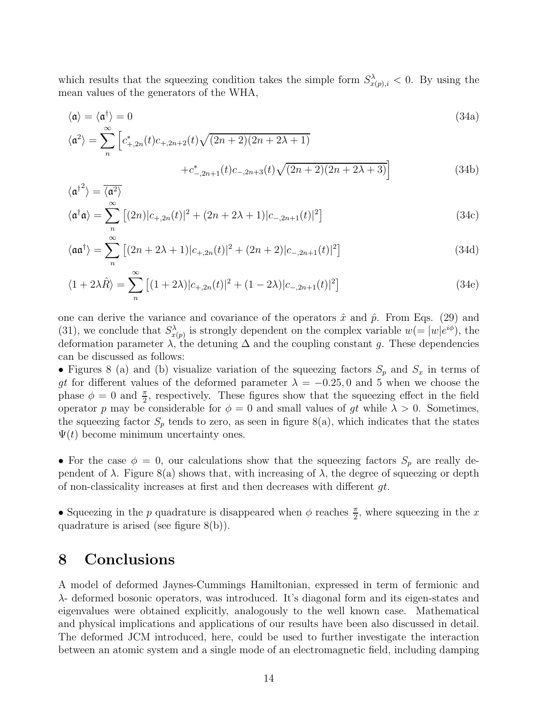which results that the squeezing condition takes the simple form  $S_{x(p),i}^{\lambda} < 0$ . By using the mean values of the generators of the WHA,

$$
\langle \mathfrak{a} \rangle = \langle \mathfrak{a}^{\dagger} \rangle = 0
$$
\n
$$
\langle \mathfrak{a}^2 \rangle = \sum_{n}^{\infty} \left[ c_{+,2n}^*(t)c_{+,2n+2}(t)\sqrt{(2n+2)(2n+2\lambda+1)} + c_{-,2n+1}^*(t)c_{-,2n+3}(t)\sqrt{(2n+2)(2n+2\lambda+3)} \right]
$$
\n(34b)

$$
\langle \mathfrak{a}^{\dagger 2} \rangle = \overline{\langle \mathfrak{a}^2 \rangle}
$$
  

$$
\langle \mathfrak{a}^{\dagger} \mathfrak{a} \rangle = \sum_{n=1}^{\infty} \left[ (2n) |c_{+,2n}(t)|^2 + (2n+2\lambda+1) |c_{-,2n+1}(t)|^2 \right]
$$
(34c)

$$
\langle \mathfrak{aa}^{\dagger} \rangle = \sum_{n}^{\infty} \left[ (2n + 2\lambda + 1) |c_{+,2n}(t)|^2 + (2n + 2) |c_{-,2n+1}(t)|^2 \right]
$$
(34d)

$$
\langle 1 + 2\lambda \hat{R} \rangle = \sum_{n}^{\infty} \left[ (1 + 2\lambda) |c_{+,2n}(t)|^2 + (1 - 2\lambda) |c_{-,2n+1}(t)|^2 \right] \tag{34e}
$$

one can derive the variance and covariance of the operators  $\hat{x}$  and  $\hat{p}$ . From Eqs. (29) and (31), we conclude that  $S_{x(p)}^{\lambda}$  is strongly dependent on the complex variable  $w (= |w|e^{i\phi})$ , the deformation parameter  $\lambda$ , the detuning  $\Delta$  and the coupling constant g. These dependencies can be discussed as follows:

• Figures 8 (a) and (b) visualize variation of the squeezing factors  $S_p$  and  $S_x$  in terms of gt for different values of the deformed parameter  $\lambda = -0.25, 0$  and 5 when we choose the phase  $\phi = 0$  and  $\frac{\pi}{2}$ , respectively. These figures show that the squeezing effect in the field operator p may be considerable for  $\phi = 0$  and small values of gt while  $\lambda > 0$ . Sometimes, the squeezing factor  $S_p$  tends to zero, as seen in figure 8(a), which indicates that the states  $\Psi(t)$  become minimum uncertainty ones.

• For the case  $\phi = 0$ , our calculations show that the squeezing factors  $S_p$  are really dependent of  $\lambda$ . Figure 8(a) shows that, with increasing of  $\lambda$ , the degree of squeezing or depth of non-classicality increases at first and then decreases with different  $gt$ .

• Squeezing in the p quadrature is disappeared when  $\phi$  reaches  $\frac{\pi}{2}$ , where squeezing in the x quadrature is arised (see figure 8(b)).

## 8 Conclusions

A model of deformed Jaynes-Cummings Hamiltonian, expressed in term of fermionic and λ- deformed bosonic operators, was introduced. It's diagonal form and its eigen-states and eigenvalues were obtained explicitly, analogously to the well known case. Mathematical and physical implications and applications of our results have been also discussed in detail. The deformed JCM introduced, here, could be used to further investigate the interaction between an atomic system and a single mode of an electromagnetic field, including damping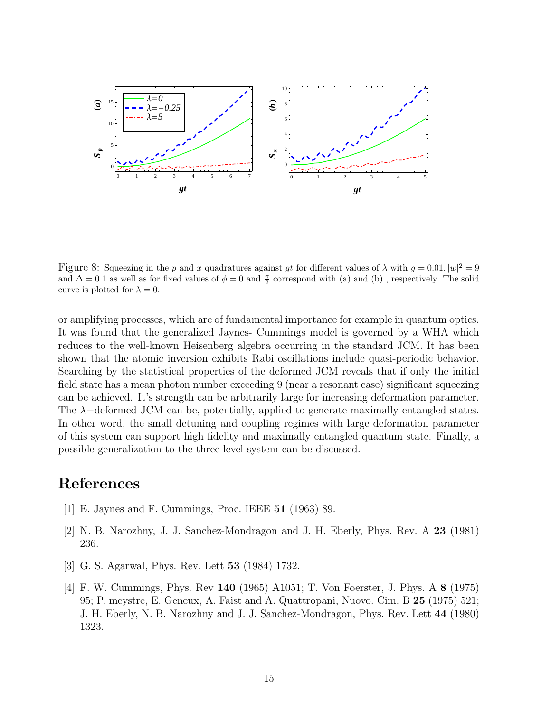

Figure 8: Squeezing in the p and x quadratures against gt for different values of  $\lambda$  with  $g = 0.01$ ,  $|w|^2 = 9$ and  $\Delta = 0.1$  as well as for fixed values of  $\phi = 0$  and  $\frac{\pi}{2}$  correspond with (a) and (b), respectively. The solid curve is plotted for  $\lambda = 0$ .

or amplifying processes, which are of fundamental importance for example in quantum optics. It was found that the generalized Jaynes- Cummings model is governed by a WHA which reduces to the well-known Heisenberg algebra occurring in the standard JCM. It has been shown that the atomic inversion exhibits Rabi oscillations include quasi-periodic behavior. Searching by the statistical properties of the deformed JCM reveals that if only the initial field state has a mean photon number exceeding 9 (near a resonant case) significant squeezing can be achieved. It's strength can be arbitrarily large for increasing deformation parameter. The λ−deformed JCM can be, potentially, applied to generate maximally entangled states. In other word, the small detuning and coupling regimes with large deformation parameter of this system can support high fidelity and maximally entangled quantum state. Finally, a possible generalization to the three-level system can be discussed.

## <span id="page-14-0"></span>References

- <span id="page-14-1"></span>[1] E. Jaynes and F. Cummings, Proc. IEEE 51 (1963) 89.
- <span id="page-14-2"></span>[2] N. B. Narozhny, J. J. Sanchez-Mondragon and J. H. Eberly, Phys. Rev. A 23 (1981) 236.
- <span id="page-14-3"></span>[3] G. S. Agarwal, Phys. Rev. Lett 53 (1984) 1732.
- [4] F. W. Cummings, Phys. Rev 140 (1965) A1051; T. Von Foerster, J. Phys. A 8 (1975) 95; P. meystre, E. Geneux, A. Faist and A. Quattropani, Nuovo. Cim. B 25 (1975) 521; J. H. Eberly, N. B. Narozhny and J. J. Sanchez-Mondragon, Phys. Rev. Lett 44 (1980) 1323.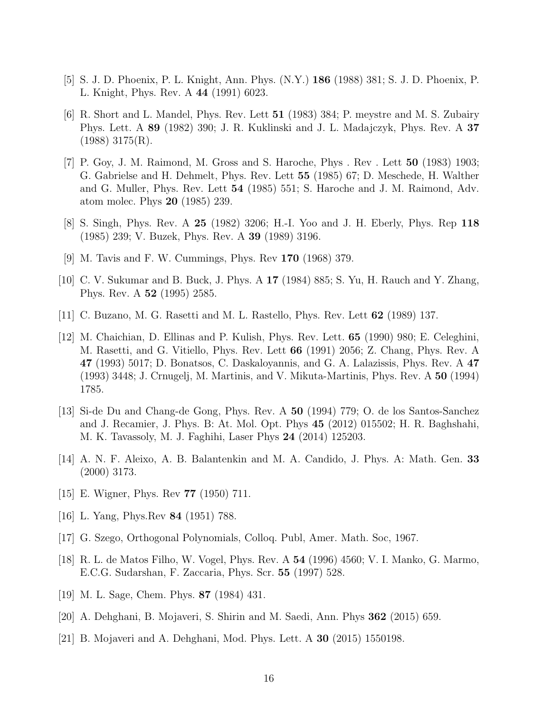- <span id="page-15-1"></span><span id="page-15-0"></span>[5] S. J. D. Phoenix, P. L. Knight, Ann. Phys. (N.Y.) 186 (1988) 381; S. J. D. Phoenix, P. L. Knight, Phys. Rev. A 44 (1991) 6023.
- [6] R. Short and L. Mandel, Phys. Rev. Lett 51 (1983) 384; P. meystre and M. S. Zubairy Phys. Lett. A 89 (1982) 390; J. R. Kuklinski and J. L. Madajczyk, Phys. Rev. A 37  $(1988)$  3175 $(R)$ .
- <span id="page-15-2"></span>[7] P. Goy, J. M. Raimond, M. Gross and S. Haroche, Phys . Rev . Lett 50 (1983) 1903; G. Gabrielse and H. Dehmelt, Phys. Rev. Lett 55 (1985) 67; D. Meschede, H. Walther and G. Muller, Phys. Rev. Lett 54 (1985) 551; S. Haroche and J. M. Raimond, Adv. atom molec. Phys 20 (1985) 239.
- <span id="page-15-4"></span><span id="page-15-3"></span>[8] S. Singh, Phys. Rev. A 25 (1982) 3206; H.-I. Yoo and J. H. Eberly, Phys. Rep 118 (1985) 239; V. Buzek, Phys. Rev. A 39 (1989) 3196.
- <span id="page-15-5"></span>[9] M. Tavis and F. W. Cummings, Phys. Rev 170 (1968) 379.
- <span id="page-15-6"></span>[10] C. V. Sukumar and B. Buck, J. Phys. A 17 (1984) 885; S. Yu, H. Rauch and Y. Zhang, Phys. Rev. A 52 (1995) 2585.
- <span id="page-15-7"></span>[11] C. Buzano, M. G. Rasetti and M. L. Rastello, Phys. Rev. Lett 62 (1989) 137.
- [12] M. Chaichian, D. Ellinas and P. Kulish, Phys. Rev. Lett. 65 (1990) 980; E. Celeghini, M. Rasetti, and G. Vitiello, Phys. Rev. Lett 66 (1991) 2056; Z. Chang, Phys. Rev. A 47 (1993) 5017; D. Bonatsos, C. Daskaloyannis, and G. A. Lalazissis, Phys. Rev. A 47 (1993) 3448; J. Crnugelj, M. Martinis, and V. Mikuta-Martinis, Phys. Rev. A 50 (1994) 1785.
- <span id="page-15-8"></span>[13] Si-de Du and Chang-de Gong, Phys. Rev. A 50 (1994) 779; O. de los Santos-Sanchez and J. Recamier, J. Phys. B: At. Mol. Opt. Phys 45 (2012) 015502; H. R. Baghshahi, M. K. Tavassoly, M. J. Faghihi, Laser Phys 24 (2014) 125203.
- <span id="page-15-9"></span>[14] A. N. F. Aleixo, A. B. Balantenkin and M. A. Candido, J. Phys. A: Math. Gen. 33 (2000) 3173.
- <span id="page-15-11"></span><span id="page-15-10"></span>[15] E. Wigner, Phys. Rev 77 (1950) 711.
- <span id="page-15-12"></span>[16] L. Yang, Phys.Rev 84 (1951) 788.
- <span id="page-15-13"></span>[17] G. Szego, Orthogonal Polynomials, Colloq. Publ, Amer. Math. Soc, 1967.
- [18] R. L. de Matos Filho, W. Vogel, Phys. Rev. A 54 (1996) 4560; V. I. Manko, G. Marmo, E.C.G. Sudarshan, F. Zaccaria, Phys. Scr. 55 (1997) 528.
- <span id="page-15-15"></span><span id="page-15-14"></span>[19] M. L. Sage, Chem. Phys. 87 (1984) 431.
- <span id="page-15-16"></span>[20] A. Dehghani, B. Mojaveri, S. Shirin and M. Saedi, Ann. Phys 362 (2015) 659.
- [21] B. Mojaveri and A. Dehghani, Mod. Phys. Lett. A 30 (2015) 1550198.